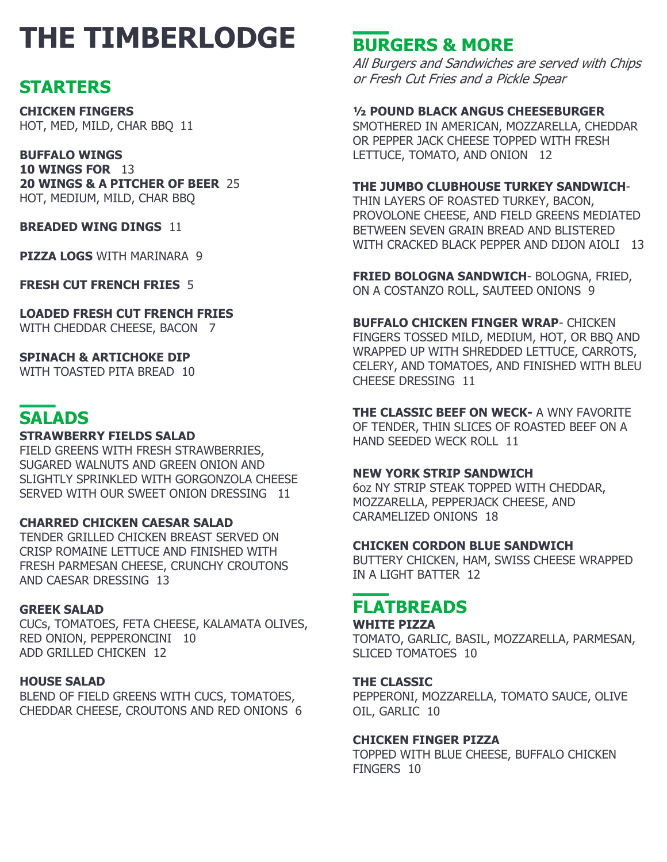# **THE TIMBERLODGE**

### **STARTERS**

**CHICKEN FINGERS** HOT, MED, MILD, CHAR BBQ 11

**BUFFALO WINGS 10 WINGS FOR** 13 **20 WINGS & A PITCHER OF BEER** 25 HOT, MEDIUM, MILD, CHAR BBQ

**BREADED WING DINGS 11** 

**PIZZA LOGS** WITH MARINARA 9

**FRESH CUT FRENCH FRIES** 5

**LOADED FRESH CUT FRENCH FRIES** WITH CHEDDAR CHEESE, BACON 7

**SPINACH & ARTICHOKE DIP** WITH TOASTED PITA BREAD 10

### **SALADS**

#### **STRAWBERRY FIELDS SALAD**

FIELD GREENS WITH FRESH STRAWBERRIES, SUGARED WALNUTS AND GREEN ONION AND SLIGHTLY SPRINKLED WITH GORGONZOLA CHEESE SERVED WITH OUR SWEET ONION DRESSING 11

#### **CHARRED CHICKEN CAESAR SALAD**

TENDER GRILLED CHICKEN BREAST SERVED ON CRISP ROMAINE LETTUCE AND FINISHED WITH FRESH PARMESAN CHEESE, CRUNCHY CROUTONS AND CAESAR DRESSING 13

#### **GREEK SALAD**

CUCs, TOMATOES, FETA CHEESE, KALAMATA OLIVES, RED ONION, PEPPERONCINI 10 ADD GRILLED CHICKEN 12

#### **HOUSE SALAD**

BLEND OF FIELD GREENS WITH CUCS, TOMATOES, CHEDDAR CHEESE, CROUTONS AND RED ONIONS 6

# **BURGERS & MORE**

All Burgers and Sandwiches are served with Chips or Fresh Cut Fries and a Pickle Spear

#### **½ POUND BLACK ANGUS CHEESEBURGER**

SMOTHERED IN AMERICAN, MOZZARELLA, CHEDDAR OR PEPPER JACK CHEESE TOPPED WITH FRESH LETTUCE, TOMATO, AND ONION 12

#### **THE JUMBO CLUBHOUSE TURKEY SANDWICH**-

THIN LAYERS OF ROASTED TURKEY, BACON, PROVOLONE CHEESE, AND FIELD GREENS MEDIATED BETWEEN SEVEN GRAIN BREAD AND BLISTERED WITH CRACKED BLACK PEPPER AND DIJON AIOLI 13

**FRIED BOLOGNA SANDWICH**- BOLOGNA, FRIED, ON A COSTANZO ROLL, SAUTEED ONIONS 9

**BUFFALO CHICKEN FINGER WRAP**- CHICKEN FINGERS TOSSED MILD, MEDIUM, HOT, OR BBQ AND WRAPPED UP WITH SHREDDED LETTUCE, CARROTS, CELERY, AND TOMATOES, AND FINISHED WITH BLEU CHEESE DRESSING 11

**THE CLASSIC BEEF ON WECK-** A WNY FAVORITE OF TENDER, THIN SLICES OF ROASTED BEEF ON A HAND SEEDED WECK ROLL 11

#### **NEW YORK STRIP SANDWICH**

6oz NY STRIP STEAK TOPPED WITH CHEDDAR, MOZZARELLA, PEPPERJACK CHEESE, AND CARAMELIZED ONIONS 18

#### **CHICKEN CORDON BLUE SANDWICH**

BUTTERY CHICKEN, HAM, SWISS CHEESE WRAPPED IN A LIGHT BATTER 12

### **FLATBREADS**

#### **WHITE PIZZA**

TOMATO, GARLIC, BASIL, MOZZARELLA, PARMESAN, SLICED TOMATOES 10

#### **THE CLASSIC**

PEPPERONI, MOZZARELLA, TOMATO SAUCE, OLIVE OIL, GARLIC 10

#### **CHICKEN FINGER PIZZA**

TOPPED WITH BLUE CHEESE, BUFFALO CHICKEN FINGERS 10